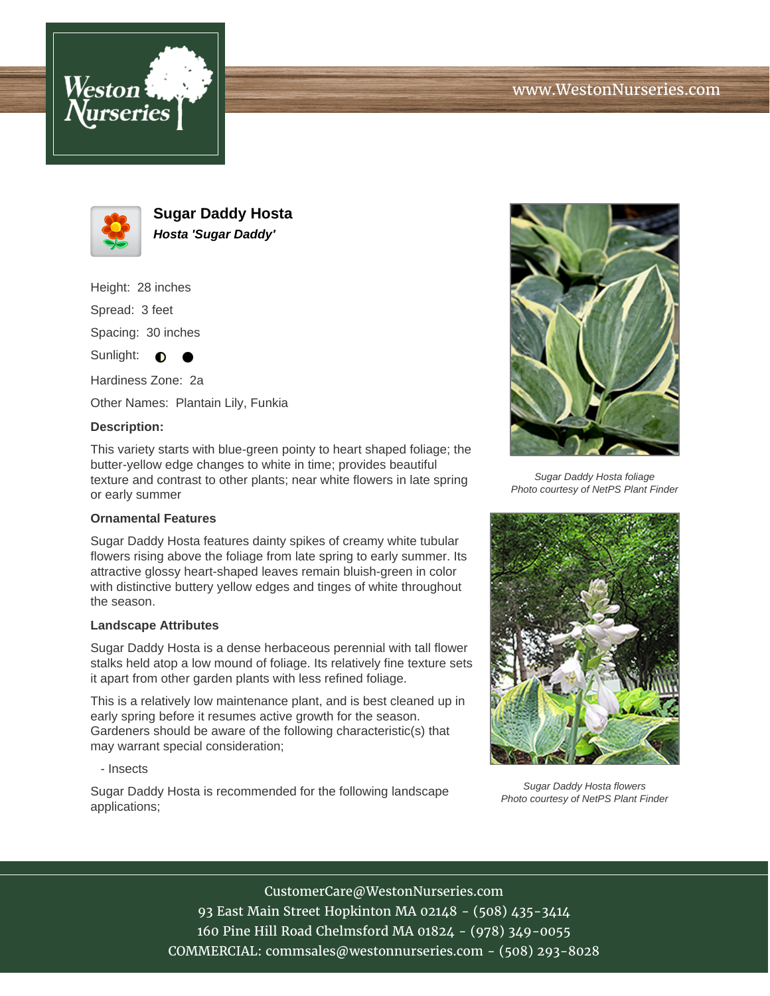



**Sugar Daddy Hosta Hosta 'Sugar Daddy'**

Height: 28 inches Spread: 3 feet Spacing: 30 inches

Sunlight:  $\bullet$ 

Hardiness Zone: 2a

Other Names: Plantain Lily, Funkia

## **Description:**

This variety starts with blue-green pointy to heart shaped foliage; the butter-yellow edge changes to white in time; provides beautiful texture and contrast to other plants; near white flowers in late spring or early summer

## **Ornamental Features**

Sugar Daddy Hosta features dainty spikes of creamy white tubular flowers rising above the foliage from late spring to early summer. Its attractive glossy heart-shaped leaves remain bluish-green in color with distinctive buttery yellow edges and tinges of white throughout the season.

## **Landscape Attributes**

Sugar Daddy Hosta is a dense herbaceous perennial with tall flower stalks held atop a low mound of foliage. Its relatively fine texture sets it apart from other garden plants with less refined foliage.

This is a relatively low maintenance plant, and is best cleaned up in early spring before it resumes active growth for the season. Gardeners should be aware of the following characteristic(s) that may warrant special consideration;

- Insects

Sugar Daddy Hosta is recommended for the following landscape applications;



Sugar Daddy Hosta foliage Photo courtesy of NetPS Plant Finder



Sugar Daddy Hosta flowers Photo courtesy of NetPS Plant Finder

CustomerCare@WestonNurseries.com

93 East Main Street Hopkinton MA 02148 - (508) 435-3414 160 Pine Hill Road Chelmsford MA 01824 - (978) 349-0055 COMMERCIAL: commsales@westonnurseries.com - (508) 293-8028